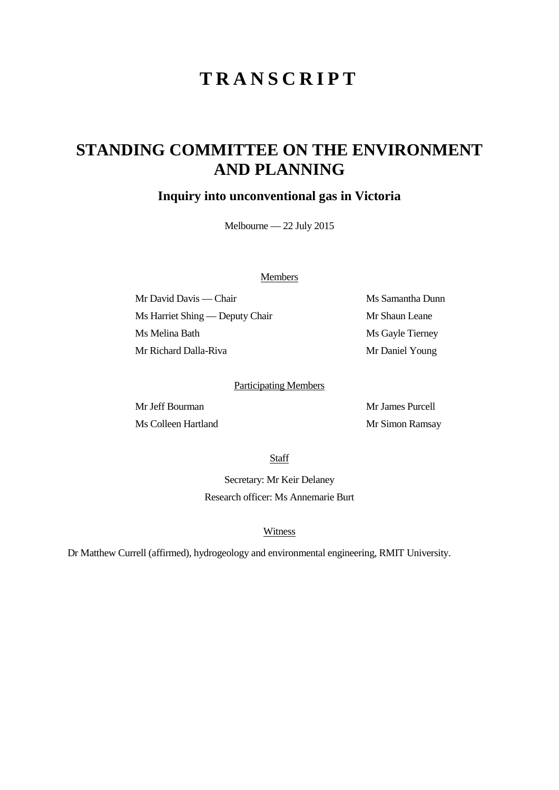# **TRANSCRIPT**

## **STANDING COMMITTEE ON THE ENVIRONMENT AND PLANNING**

### **Inquiry into unconventional gas in Victoria**

Melbourne — 22 July 2015

#### Members

Mr David Davis — Chair Ms Samantha Dunn Ms Harriet Shing — Deputy Chair Mr Shaun Leane Ms Melina Bath Ms Gayle Tierney Mr Richard Dalla-Riva Mr Daniel Young

#### Participating Members

Mr James Purcell Ms Colleen Hartland Mr Simon Ramsay

Staff

Secretary: Mr Keir Delaney Research officer: Ms Annemarie Burt

#### Witness

Dr Matthew Currell (affirmed), hydrogeology and environmental engineering, RMIT University.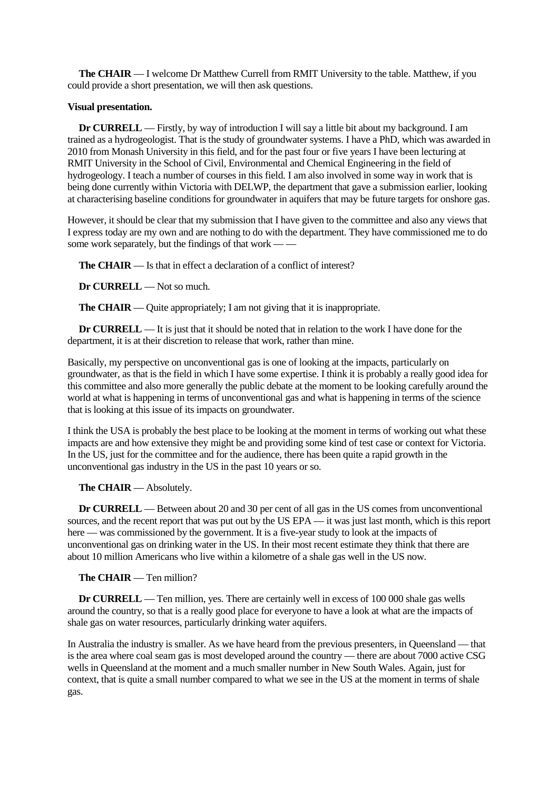**The CHAIR** — I welcome Dr Matthew Currell from RMIT University to the table. Matthew, if you could provide a short presentation, we will then ask questions.

#### **Visual presentation.**

**Dr CURRELL** — Firstly, by way of introduction I will say a little bit about my background. I am trained as a hydrogeologist. That is the study of groundwater systems. I have a PhD, which was awarded in 2010 from Monash University in this field, and for the past four or five years I have been lecturing at RMIT University in the School of Civil, Environmental and Chemical Engineering in the field of hydrogeology. I teach a number of courses in this field. I am also involved in some way in work that is being done currently within Victoria with DELWP, the department that gave a submission earlier, looking at characterising baseline conditions for groundwater in aquifers that may be future targets for onshore gas.

However, it should be clear that my submission that I have given to the committee and also any views that I express today are my own and are nothing to do with the department. They have commissioned me to do some work separately, but the findings of that work — —

**The CHAIR** — Is that in effect a declaration of a conflict of interest?

**Dr CURRELL** — Not so much.

**The CHAIR** — Quite appropriately; I am not giving that it is inappropriate.

**Dr CURRELL** — It is just that it should be noted that in relation to the work I have done for the department, it is at their discretion to release that work, rather than mine.

Basically, my perspective on unconventional gas is one of looking at the impacts, particularly on groundwater, as that is the field in which I have some expertise. I think it is probably a really good idea for this committee and also more generally the public debate at the moment to be looking carefully around the world at what is happening in terms of unconventional gas and what is happening in terms of the science that is looking at this issue of its impacts on groundwater.

I think the USA is probably the best place to be looking at the moment in terms of working out what these impacts are and how extensive they might be and providing some kind of test case or context for Victoria. In the US, just for the committee and for the audience, there has been quite a rapid growth in the unconventional gas industry in the US in the past 10 years or so.

#### **The CHAIR** — Absolutely.

**Dr CURRELL** — Between about 20 and 30 per cent of all gas in the US comes from unconventional sources, and the recent report that was put out by the US EPA — it was just last month, which is this report here — was commissioned by the government. It is a five-year study to look at the impacts of unconventional gas on drinking water in the US. In their most recent estimate they think that there are about 10 million Americans who live within a kilometre of a shale gas well in the US now.

**The CHAIR** — Ten million?

**Dr CURRELL** — Ten million, yes. There are certainly well in excess of 100 000 shale gas wells around the country, so that is a really good place for everyone to have a look at what are the impacts of shale gas on water resources, particularly drinking water aquifers.

In Australia the industry is smaller. As we have heard from the previous presenters, in Queensland — that is the area where coal seam gas is most developed around the country — there are about 7000 active CSG wells in Queensland at the moment and a much smaller number in New South Wales. Again, just for context, that is quite a small number compared to what we see in the US at the moment in terms of shale gas.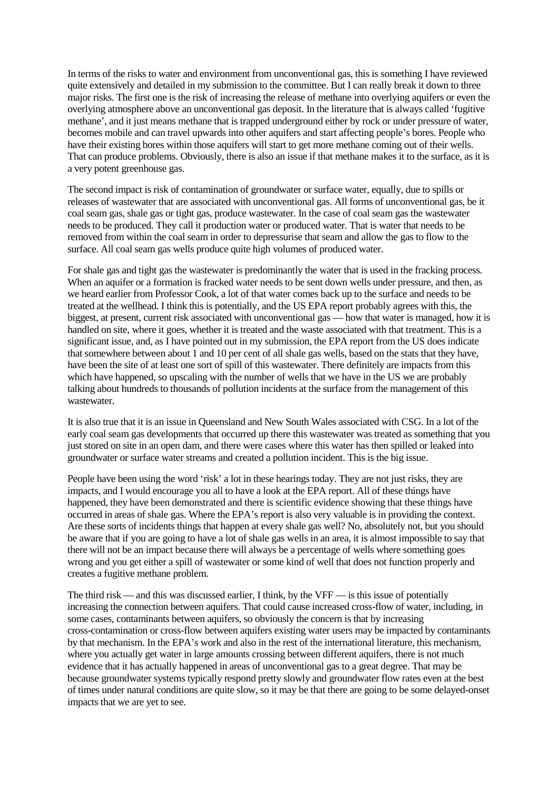In terms of the risks to water and environment from unconventional gas, this is something I have reviewed quite extensively and detailed in my submission to the committee. But I can really break it down to three major risks. The first one is the risk of increasing the release of methane into overlying aquifers or even the overlying atmosphere above an unconventional gas deposit. In the literature that is always called 'fugitive methane', and it just means methane that is trapped underground either by rock or under pressure of water, becomes mobile and can travel upwards into other aquifers and start affecting people's bores. People who have their existing bores within those aquifers will start to get more methane coming out of their wells. That can produce problems. Obviously, there is also an issue if that methane makes it to the surface, as it is a very potent greenhouse gas.

The second impact is risk of contamination of groundwater or surface water, equally, due to spills or releases of wastewater that are associated with unconventional gas. All forms of unconventional gas, be it coal seam gas, shale gas or tight gas, produce wastewater. In the case of coal seam gas the wastewater needs to be produced. They call it production water or produced water. That is water that needs to be removed from within the coal seam in order to depressurise that seam and allow the gas to flow to the surface. All coal seam gas wells produce quite high volumes of produced water.

For shale gas and tight gas the wastewater is predominantly the water that is used in the fracking process. When an aquifer or a formation is fracked water needs to be sent down wells under pressure, and then, as we heard earlier from Professor Cook, a lot of that water comes back up to the surface and needs to be treated at the wellhead. I think this is potentially, and the US EPA report probably agrees with this, the biggest, at present, current risk associated with unconventional gas — how that water is managed, how it is handled on site, where it goes, whether it is treated and the waste associated with that treatment. This is a significant issue, and, as I have pointed out in my submission, the EPA report from the US does indicate that somewhere between about 1 and 10 per cent of all shale gas wells, based on the stats that they have, have been the site of at least one sort of spill of this wastewater. There definitely are impacts from this which have happened, so upscaling with the number of wells that we have in the US we are probably talking about hundreds to thousands of pollution incidents at the surface from the management of this wastewater.

It is also true that it is an issue in Queensland and New South Wales associated with CSG. In a lot of the early coal seam gas developments that occurred up there this wastewater was treated as something that you just stored on site in an open dam, and there were cases where this water has then spilled or leaked into groundwater or surface water streams and created a pollution incident. This is the big issue.

People have been using the word 'risk' a lot in these hearings today. They are not just risks, they are impacts, and I would encourage you all to have a look at the EPA report. All of these things have happened, they have been demonstrated and there is scientific evidence showing that these things have occurred in areas of shale gas. Where the EPA's report is also very valuable is in providing the context. Are these sorts of incidents things that happen at every shale gas well? No, absolutely not, but you should be aware that if you are going to have a lot of shale gas wells in an area, it is almost impossible to say that there will not be an impact because there will always be a percentage of wells where something goes wrong and you get either a spill of wastewater or some kind of well that does not function properly and creates a fugitive methane problem.

The third risk — and this was discussed earlier, I think, by the VFF — is this issue of potentially increasing the connection between aquifers. That could cause increased cross-flow of water, including, in some cases, contaminants between aquifers, so obviously the concern is that by increasing cross-contamination or cross-flow between aquifers existing water users may be impacted by contaminants by that mechanism. In the EPA's work and also in the rest of the international literature, this mechanism, where you actually get water in large amounts crossing between different aquifers, there is not much evidence that it has actually happened in areas of unconventional gas to a great degree. That may be because groundwater systems typically respond pretty slowly and groundwater flow rates even at the best of times under natural conditions are quite slow, so it may be that there are going to be some delayed-onset impacts that we are yet to see.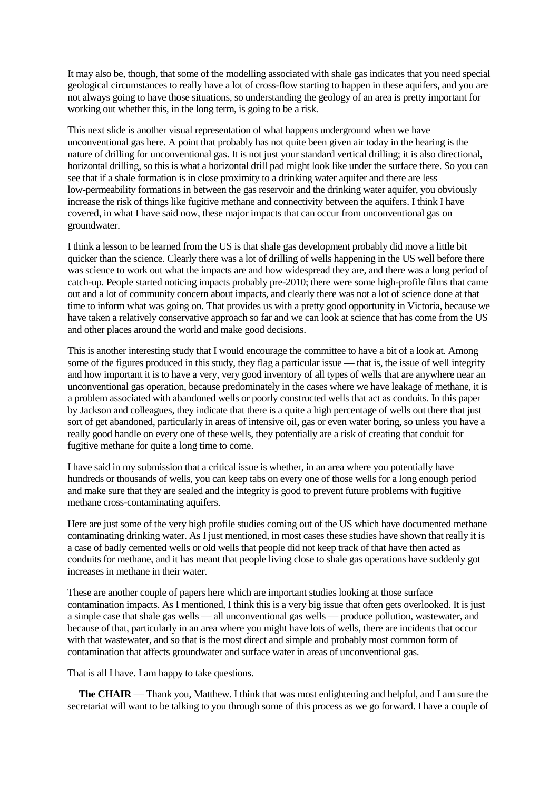It may also be, though, that some of the modelling associated with shale gas indicates that you need special geological circumstances to really have a lot of cross-flow starting to happen in these aquifers, and you are not always going to have those situations, so understanding the geology of an area is pretty important for working out whether this, in the long term, is going to be a risk.

This next slide is another visual representation of what happens underground when we have unconventional gas here. A point that probably has not quite been given air today in the hearing is the nature of drilling for unconventional gas. It is not just your standard vertical drilling; it is also directional, horizontal drilling, so this is what a horizontal drill pad might look like under the surface there. So you can see that if a shale formation is in close proximity to a drinking water aquifer and there are less low-permeability formations in between the gas reservoir and the drinking water aquifer, you obviously increase the risk of things like fugitive methane and connectivity between the aquifers. I think I have covered, in what I have said now, these major impacts that can occur from unconventional gas on groundwater.

I think a lesson to be learned from the US is that shale gas development probably did move a little bit quicker than the science. Clearly there was a lot of drilling of wells happening in the US well before there was science to work out what the impacts are and how widespread they are, and there was a long period of catch-up. People started noticing impacts probably pre-2010; there were some high-profile films that came out and a lot of community concern about impacts, and clearly there was not a lot of science done at that time to inform what was going on. That provides us with a pretty good opportunity in Victoria, because we have taken a relatively conservative approach so far and we can look at science that has come from the US and other places around the world and make good decisions.

This is another interesting study that I would encourage the committee to have a bit of a look at. Among some of the figures produced in this study, they flag a particular issue — that is, the issue of well integrity and how important it is to have a very, very good inventory of all types of wells that are anywhere near an unconventional gas operation, because predominately in the cases where we have leakage of methane, it is a problem associated with abandoned wells or poorly constructed wells that act as conduits. In this paper by Jackson and colleagues, they indicate that there is a quite a high percentage of wells out there that just sort of get abandoned, particularly in areas of intensive oil, gas or even water boring, so unless you have a really good handle on every one of these wells, they potentially are a risk of creating that conduit for fugitive methane for quite a long time to come.

I have said in my submission that a critical issue is whether, in an area where you potentially have hundreds or thousands of wells, you can keep tabs on every one of those wells for a long enough period and make sure that they are sealed and the integrity is good to prevent future problems with fugitive methane cross-contaminating aquifers.

Here are just some of the very high profile studies coming out of the US which have documented methane contaminating drinking water. As I just mentioned, in most cases these studies have shown that really it is a case of badly cemented wells or old wells that people did not keep track of that have then acted as conduits for methane, and it has meant that people living close to shale gas operations have suddenly got increases in methane in their water.

These are another couple of papers here which are important studies looking at those surface contamination impacts. As I mentioned, I think this is a very big issue that often gets overlooked. It is just a simple case that shale gas wells — all unconventional gas wells — produce pollution, wastewater, and because of that, particularly in an area where you might have lots of wells, there are incidents that occur with that wastewater, and so that is the most direct and simple and probably most common form of contamination that affects groundwater and surface water in areas of unconventional gas.

That is all I have. I am happy to take questions.

**The CHAIR** — Thank you, Matthew. I think that was most enlightening and helpful, and I am sure the secretariat will want to be talking to you through some of this process as we go forward. I have a couple of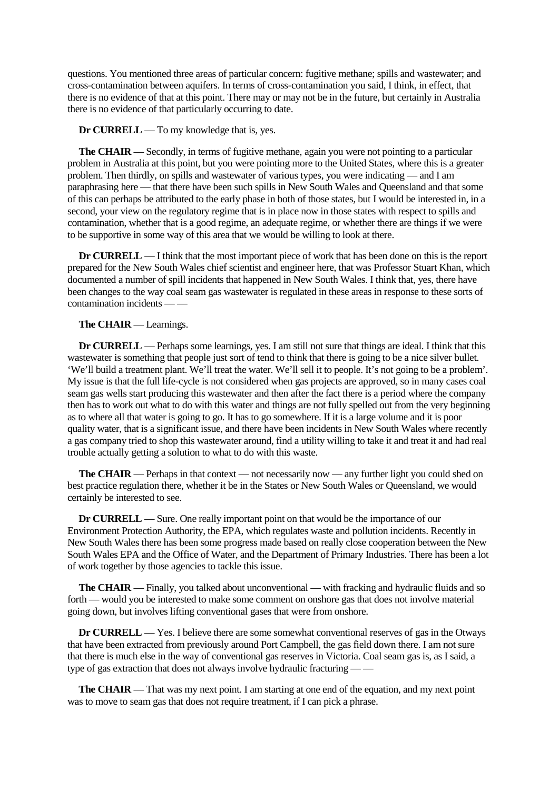questions. You mentioned three areas of particular concern: fugitive methane; spills and wastewater; and cross-contamination between aquifers. In terms of cross-contamination you said, I think, in effect, that there is no evidence of that at this point. There may or may not be in the future, but certainly in Australia there is no evidence of that particularly occurring to date.

**Dr CURRELL** — To my knowledge that is, yes.

**The CHAIR** — Secondly, in terms of fugitive methane, again you were not pointing to a particular problem in Australia at this point, but you were pointing more to the United States, where this is a greater problem. Then thirdly, on spills and wastewater of various types, you were indicating — and I am paraphrasing here — that there have been such spills in New South Wales and Queensland and that some of this can perhaps be attributed to the early phase in both of those states, but I would be interested in, in a second, your view on the regulatory regime that is in place now in those states with respect to spills and contamination, whether that is a good regime, an adequate regime, or whether there are things if we were to be supportive in some way of this area that we would be willing to look at there.

**Dr CURRELL** — I think that the most important piece of work that has been done on this is the report prepared for the New South Wales chief scientist and engineer here, that was Professor Stuart Khan, which documented a number of spill incidents that happened in New South Wales. I think that, yes, there have been changes to the way coal seam gas wastewater is regulated in these areas in response to these sorts of contamination incidents

#### **The CHAIR** — Learnings.

**Dr CURRELL** — Perhaps some learnings, yes. I am still not sure that things are ideal. I think that this wastewater is something that people just sort of tend to think that there is going to be a nice silver bullet. 'We'll build a treatment plant. We'll treat the water. We'll sell it to people. It's not going to be a problem'. My issue is that the full life-cycle is not considered when gas projects are approved, so in many cases coal seam gas wells start producing this wastewater and then after the fact there is a period where the company then has to work out what to do with this water and things are not fully spelled out from the very beginning as to where all that water is going to go. It has to go somewhere. If it is a large volume and it is poor quality water, that is a significant issue, and there have been incidents in New South Wales where recently a gas company tried to shop this wastewater around, find a utility willing to take it and treat it and had real trouble actually getting a solution to what to do with this waste.

**The CHAIR** — Perhaps in that context — not necessarily now — any further light you could shed on best practice regulation there, whether it be in the States or New South Wales or Queensland, we would certainly be interested to see.

**Dr CURRELL** — Sure. One really important point on that would be the importance of our Environment Protection Authority, the EPA, which regulates waste and pollution incidents. Recently in New South Wales there has been some progress made based on really close cooperation between the New South Wales EPA and the Office of Water, and the Department of Primary Industries. There has been a lot of work together by those agencies to tackle this issue.

**The CHAIR** — Finally, you talked about unconventional — with fracking and hydraulic fluids and so forth — would you be interested to make some comment on onshore gas that does not involve material going down, but involves lifting conventional gases that were from onshore.

**Dr CURRELL** — Yes. I believe there are some somewhat conventional reserves of gas in the Otways that have been extracted from previously around Port Campbell, the gas field down there. I am not sure that there is much else in the way of conventional gas reserves in Victoria. Coal seam gas is, as I said, a type of gas extraction that does not always involve hydraulic fracturing — —

**The CHAIR** — That was my next point. I am starting at one end of the equation, and my next point was to move to seam gas that does not require treatment, if I can pick a phrase.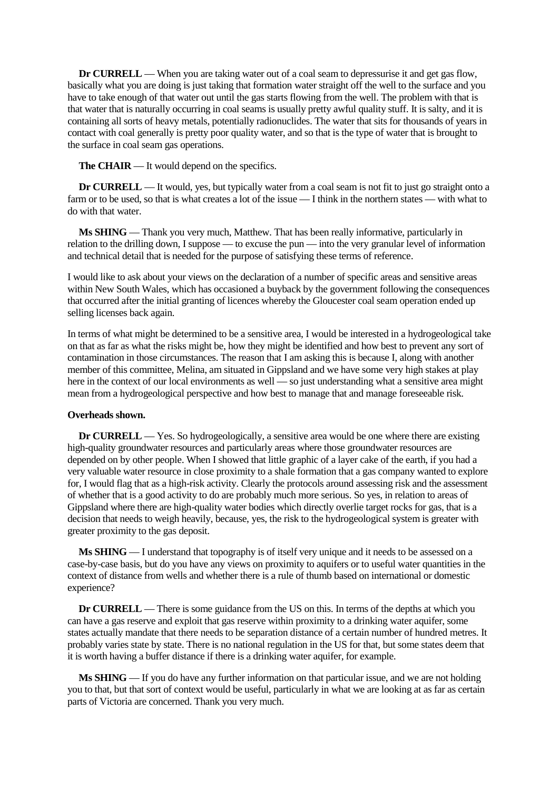**Dr <b>CURRELL** — When you are taking water out of a coal seam to depressurise it and get gas flow, basically what you are doing is just taking that formation water straight off the well to the surface and you have to take enough of that water out until the gas starts flowing from the well. The problem with that is that water that is naturally occurring in coal seams is usually pretty awful quality stuff. It is salty, and it is containing all sorts of heavy metals, potentially radionuclides. The water that sits for thousands of years in contact with coal generally is pretty poor quality water, and so that is the type of water that is brought to the surface in coal seam gas operations.

**The CHAIR** — It would depend on the specifics.

**Dr CURRELL** — It would, yes, but typically water from a coal seam is not fit to just go straight onto a farm or to be used, so that is what creates a lot of the issue — I think in the northern states — with what to do with that water.

**Ms SHING** — Thank you very much, Matthew. That has been really informative, particularly in relation to the drilling down, I suppose — to excuse the pun — into the very granular level of information and technical detail that is needed for the purpose of satisfying these terms of reference.

I would like to ask about your views on the declaration of a number of specific areas and sensitive areas within New South Wales, which has occasioned a buyback by the government following the consequences that occurred after the initial granting of licences whereby the Gloucester coal seam operation ended up selling licenses back again.

In terms of what might be determined to be a sensitive area, I would be interested in a hydrogeological take on that as far as what the risks might be, how they might be identified and how best to prevent any sort of contamination in those circumstances. The reason that I am asking this is because I, along with another member of this committee, Melina, am situated in Gippsland and we have some very high stakes at play here in the context of our local environments as well — so just understanding what a sensitive area might mean from a hydrogeological perspective and how best to manage that and manage foreseeable risk.

#### **Overheads shown.**

**Dr CURRELL** — Yes. So hydrogeologically, a sensitive area would be one where there are existing high-quality groundwater resources and particularly areas where those groundwater resources are depended on by other people. When I showed that little graphic of a layer cake of the earth, if you had a very valuable water resource in close proximity to a shale formation that a gas company wanted to explore for, I would flag that as a high-risk activity. Clearly the protocols around assessing risk and the assessment of whether that is a good activity to do are probably much more serious. So yes, in relation to areas of Gippsland where there are high-quality water bodies which directly overlie target rocks for gas, that is a decision that needs to weigh heavily, because, yes, the risk to the hydrogeological system is greater with greater proximity to the gas deposit.

**Ms SHING** — I understand that topography is of itself very unique and it needs to be assessed on a case-by-case basis, but do you have any views on proximity to aquifers or to useful water quantities in the context of distance from wells and whether there is a rule of thumb based on international or domestic experience?

**Dr CURRELL** — There is some guidance from the US on this. In terms of the depths at which you can have a gas reserve and exploit that gas reserve within proximity to a drinking water aquifer, some states actually mandate that there needs to be separation distance of a certain number of hundred metres. It probably varies state by state. There is no national regulation in the US for that, but some states deem that it is worth having a buffer distance if there is a drinking water aquifer, for example.

**Ms SHING** — If you do have any further information on that particular issue, and we are not holding you to that, but that sort of context would be useful, particularly in what we are looking at as far as certain parts of Victoria are concerned. Thank you very much.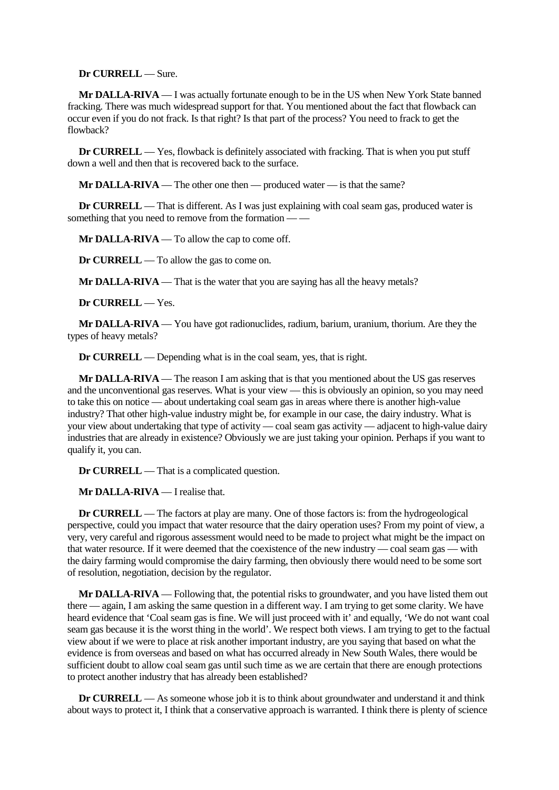**Dr CURRELL** — Sure.

**Mr DALLA-RIVA** — I was actually fortunate enough to be in the US when New York State banned fracking. There was much widespread support for that. You mentioned about the fact that flowback can occur even if you do not frack. Is that right? Is that part of the process? You need to frack to get the flowback?

**Dr CURRELL** — Yes, flowback is definitely associated with fracking. That is when you put stuff down a well and then that is recovered back to the surface.

**Mr DALLA-RIVA** — The other one then — produced water — is that the same?

**Dr CURRELL** — That is different. As I was just explaining with coal seam gas, produced water is something that you need to remove from the formation -

**Mr DALLA-RIVA** — To allow the cap to come off.

**Dr CURRELL** — To allow the gas to come on.

**Mr DALLA-RIVA** — That is the water that you are saying has all the heavy metals?

**Dr CURRELL** — Yes.

**Mr DALLA-RIVA** — You have got radionuclides, radium, barium, uranium, thorium. Are they the types of heavy metals?

**Dr CURRELL** — Depending what is in the coal seam, yes, that is right.

**Mr DALLA-RIVA** — The reason I am asking that is that you mentioned about the US gas reserves and the unconventional gas reserves. What is your view — this is obviously an opinion, so you may need to take this on notice — about undertaking coal seam gas in areas where there is another high-value industry? That other high-value industry might be, for example in our case, the dairy industry. What is your view about undertaking that type of activity — coal seam gas activity — adjacent to high-value dairy industries that are already in existence? Obviously we are just taking your opinion. Perhaps if you want to qualify it, you can.

**Dr CURRELL** — That is a complicated question.

**Mr DALLA-RIVA** — I realise that.

**Dr CURRELL** — The factors at play are many. One of those factors is: from the hydrogeological perspective, could you impact that water resource that the dairy operation uses? From my point of view, a very, very careful and rigorous assessment would need to be made to project what might be the impact on that water resource. If it were deemed that the coexistence of the new industry — coal seam gas — with the dairy farming would compromise the dairy farming, then obviously there would need to be some sort of resolution, negotiation, decision by the regulator.

**Mr DALLA-RIVA** — Following that, the potential risks to groundwater, and you have listed them out there — again, I am asking the same question in a different way. I am trying to get some clarity. We have heard evidence that 'Coal seam gas is fine. We will just proceed with it' and equally, 'We do not want coal seam gas because it is the worst thing in the world'. We respect both views. I am trying to get to the factual view about if we were to place at risk another important industry, are you saying that based on what the evidence is from overseas and based on what has occurred already in New South Wales, there would be sufficient doubt to allow coal seam gas until such time as we are certain that there are enough protections to protect another industry that has already been established?

**Dr CURRELL** — As someone whose job it is to think about groundwater and understand it and think about ways to protect it, I think that a conservative approach is warranted. I think there is plenty of science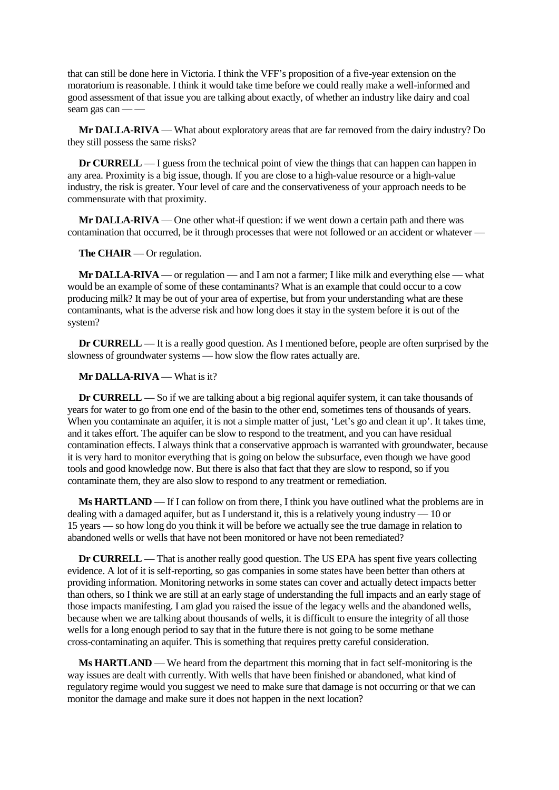that can still be done here in Victoria. I think the VFF's proposition of a five-year extension on the moratorium is reasonable. I think it would take time before we could really make a well-informed and good assessment of that issue you are talking about exactly, of whether an industry like dairy and coal seam gas can — —

**Mr DALLA-RIVA** — What about exploratory areas that are far removed from the dairy industry? Do they still possess the same risks?

**Dr CURRELL** — I guess from the technical point of view the things that can happen can happen in any area. Proximity is a big issue, though. If you are close to a high-value resource or a high-value industry, the risk is greater. Your level of care and the conservativeness of your approach needs to be commensurate with that proximity.

**Mr DALLA-RIVA** — One other what-if question: if we went down a certain path and there was contamination that occurred, be it through processes that were not followed or an accident or whatever —

**The CHAIR** — Or regulation.

**Mr DALLA-RIVA** — or regulation — and I am not a farmer; I like milk and everything else — what would be an example of some of these contaminants? What is an example that could occur to a cow producing milk? It may be out of your area of expertise, but from your understanding what are these contaminants, what is the adverse risk and how long does it stay in the system before it is out of the system?

**Dr CURRELL** — It is a really good question. As I mentioned before, people are often surprised by the slowness of groundwater systems — how slow the flow rates actually are.

**Mr DALLA-RIVA** — What is it?

**Dr CURRELL** — So if we are talking about a big regional aquifer system, it can take thousands of years for water to go from one end of the basin to the other end, sometimes tens of thousands of years. When you contaminate an aquifer, it is not a simple matter of just, 'Let's go and clean it up'. It takes time, and it takes effort. The aquifer can be slow to respond to the treatment, and you can have residual contamination effects. I always think that a conservative approach is warranted with groundwater, because it is very hard to monitor everything that is going on below the subsurface, even though we have good tools and good knowledge now. But there is also that fact that they are slow to respond, so if you contaminate them, they are also slow to respond to any treatment or remediation.

**Ms HARTLAND** — If I can follow on from there, I think you have outlined what the problems are in dealing with a damaged aquifer, but as I understand it, this is a relatively young industry  $-10$  or 15 years — so how long do you think it will be before we actually see the true damage in relation to abandoned wells or wells that have not been monitored or have not been remediated?

**Dr CURRELL** — That is another really good question. The US EPA has spent five years collecting evidence. A lot of it is self-reporting, so gas companies in some states have been better than others at providing information. Monitoring networks in some states can cover and actually detect impacts better than others, so I think we are still at an early stage of understanding the full impacts and an early stage of those impacts manifesting. I am glad you raised the issue of the legacy wells and the abandoned wells, because when we are talking about thousands of wells, it is difficult to ensure the integrity of all those wells for a long enough period to say that in the future there is not going to be some methane cross-contaminating an aquifer. This is something that requires pretty careful consideration.

**Ms HARTLAND** — We heard from the department this morning that in fact self-monitoring is the way issues are dealt with currently. With wells that have been finished or abandoned, what kind of regulatory regime would you suggest we need to make sure that damage is not occurring or that we can monitor the damage and make sure it does not happen in the next location?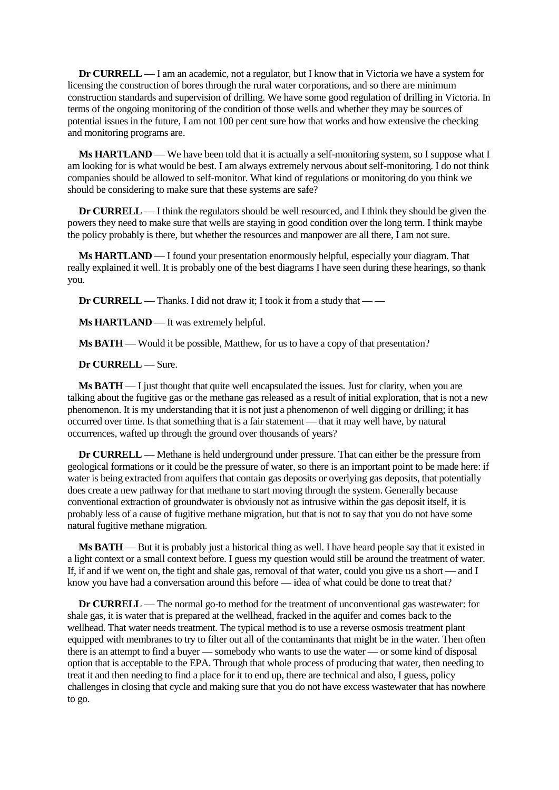**Dr CURRELL** — I am an academic, not a regulator, but I know that in Victoria we have a system for licensing the construction of bores through the rural water corporations, and so there are minimum construction standards and supervision of drilling. We have some good regulation of drilling in Victoria. In terms of the ongoing monitoring of the condition of those wells and whether they may be sources of potential issues in the future, I am not 100 per cent sure how that works and how extensive the checking and monitoring programs are.

**Ms HARTLAND** — We have been told that it is actually a self-monitoring system, so I suppose what I am looking for is what would be best. I am always extremely nervous about self-monitoring. I do not think companies should be allowed to self-monitor. What kind of regulations or monitoring do you think we should be considering to make sure that these systems are safe?

**Dr CURRELL** — I think the regulators should be well resourced, and I think they should be given the powers they need to make sure that wells are staying in good condition over the long term. I think maybe the policy probably is there, but whether the resources and manpower are all there, I am not sure.

**Ms HARTLAND** — I found your presentation enormously helpful, especially your diagram. That really explained it well. It is probably one of the best diagrams I have seen during these hearings, so thank you.

**Dr CURRELL** — Thanks. I did not draw it; I took it from a study that — —

**Ms HARTLAND** — It was extremely helpful.

**Ms BATH** — Would it be possible, Matthew, for us to have a copy of that presentation?

**Dr CURRELL** — Sure.

**Ms BATH** — I just thought that quite well encapsulated the issues. Just for clarity, when you are talking about the fugitive gas or the methane gas released as a result of initial exploration, that is not a new phenomenon. It is my understanding that it is not just a phenomenon of well digging or drilling; it has occurred over time. Is that something that is a fair statement — that it may well have, by natural occurrences, wafted up through the ground over thousands of years?

**Dr CURRELL** — Methane is held underground under pressure. That can either be the pressure from geological formations or it could be the pressure of water, so there is an important point to be made here: if water is being extracted from aquifers that contain gas deposits or overlying gas deposits, that potentially does create a new pathway for that methane to start moving through the system. Generally because conventional extraction of groundwater is obviously not as intrusive within the gas deposit itself, it is probably less of a cause of fugitive methane migration, but that is not to say that you do not have some natural fugitive methane migration.

**Ms BATH** — But it is probably just a historical thing as well. I have heard people say that it existed in a light context or a small context before. I guess my question would still be around the treatment of water. If, if and if we went on, the tight and shale gas, removal of that water, could you give us a short — and I know you have had a conversation around this before — idea of what could be done to treat that?

**Dr CURRELL** — The normal go-to method for the treatment of unconventional gas wastewater: for shale gas, it is water that is prepared at the wellhead, fracked in the aquifer and comes back to the wellhead. That water needs treatment. The typical method is to use a reverse osmosis treatment plant equipped with membranes to try to filter out all of the contaminants that might be in the water. Then often there is an attempt to find a buyer — somebody who wants to use the water — or some kind of disposal option that is acceptable to the EPA. Through that whole process of producing that water, then needing to treat it and then needing to find a place for it to end up, there are technical and also, I guess, policy challenges in closing that cycle and making sure that you do not have excess wastewater that has nowhere to go.